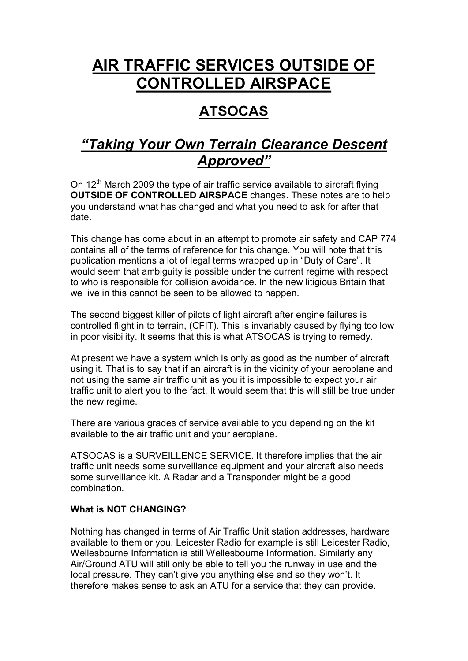# **AIR TRAFFIC SERVICES OUTSIDE OF CONTROLLED AIRSPACE**

# **ATSOCAS**

# *"Taking Your Own Terrain Clearance Descent Approved"*

On 12<sup>th</sup> March 2009 the type of air traffic service available to aircraft flying **OUTSIDE OF CONTROLLED AIRSPACE** changes. These notes are to help you understand what has changed and what you need to ask for after that date.

This change has come about in an attempt to promote air safety and CAP 774 contains all of the terms of reference for this change. You will note that this publication mentions a lot of legal terms wrapped up in "Duty of Care". It would seem that ambiguity is possible under the current regime with respect to who is responsible for collision avoidance. In the new litigious Britain that we live in this cannot be seen to be allowed to happen.

The second biggest killer of pilots of light aircraft after engine failures is controlled flight in to terrain, (CFIT). This is invariably caused by flying too low in poor visibility. It seems that this is what ATSOCAS is trying to remedy.

At present we have a system which is only as good as the number of aircraft using it. That is to say that if an aircraft is in the vicinity of your aeroplane and not using the same air traffic unit as you it is impossible to expect your air traffic unit to alert you to the fact. It would seem that this will still be true under the new regime.

There are various grades of service available to you depending on the kit available to the air traffic unit and your aeroplane.

ATSOCAS is a SURVEILLENCE SERVICE. It therefore implies that the air traffic unit needs some surveillance equipment and your aircraft also needs some surveillance kit. A Radar and a Transponder might be a good combination.

## **What is NOT CHANGING?**

Nothing has changed in terms of Air Traffic Unit station addresses, hardware available to them or you. Leicester Radio for example is still Leicester Radio, Wellesbourne Information is still Wellesbourne Information. Similarly any Air/Ground ATU will still only be able to tell you the runway in use and the local pressure. They can't give you anything else and so they won't. It therefore makes sense to ask an ATU for a service that they can provide.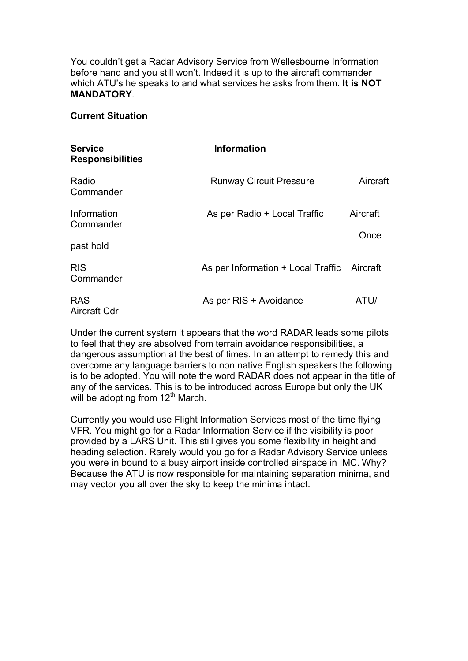You couldn't get a Radar Advisory Service from Wellesbourne Information before hand and you still won't. Indeed it is up to the aircraft commander which ATU's he speaks to and what services he asks from them. **It is NOT MANDATORY**.

#### **Current Situation**

| <b>Service</b><br><b>Responsibilities</b> | <b>Information</b>                          |                  |  |
|-------------------------------------------|---------------------------------------------|------------------|--|
| Radio<br>Commander                        | <b>Runway Circuit Pressure</b>              | Aircraft         |  |
| Information<br>Commander                  | As per Radio + Local Traffic                | Aircraft<br>Once |  |
| past hold                                 |                                             |                  |  |
| <b>RIS</b><br>Commander                   | As per Information + Local Traffic Aircraft |                  |  |
| <b>RAS</b><br>Aircraft Cdr                | As per RIS + Avoidance                      | ATU/             |  |

Under the current system it appears that the word RADAR leads some pilots to feel that they are absolved from terrain avoidance responsibilities, a dangerous assumption at the best of times. In an attempt to remedy this and overcome any language barriers to non native English speakers the following is to be adopted. You will note the word RADAR does not appear in the title of any of the services. This is to be introduced across Europe but only the UK will be adopting from  $12<sup>th</sup>$  March.

Currently you would use Flight Information Services most of the time flying VFR. You might go for a Radar Information Service if the visibility is poor provided by a LARS Unit. This still gives you some flexibility in height and heading selection. Rarely would you go for a Radar Advisory Service unless you were in bound to a busy airport inside controlled airspace in IMC. Why? Because the ATU is now responsible for maintaining separation minima, and may vector you all over the sky to keep the minima intact.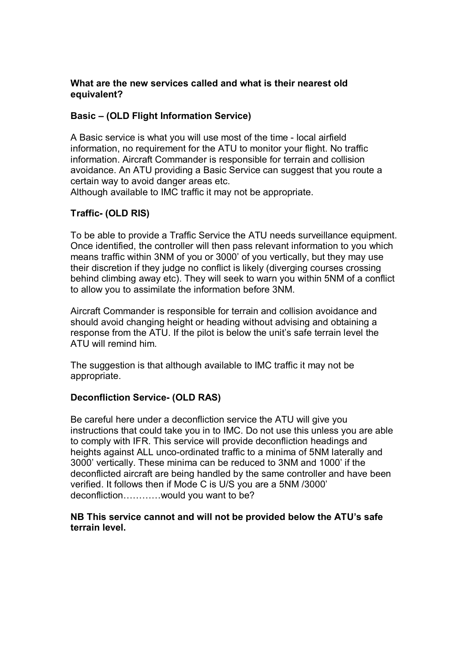#### **What are the new services called and what is their nearest old equivalent?**

#### **Basic – (OLD Flight Information Service)**

A Basic service is what you will use most of the time - local airfield information, no requirement for the ATU to monitor your flight. No traffic information. Aircraft Commander is responsible for terrain and collision avoidance. An ATU providing a Basic Service can suggest that you route a certain way to avoid danger areas etc.

Although available to IMC traffic it may not be appropriate.

### **Traffic (OLD RIS)**

To be able to provide a Traffic Service the ATU needs surveillance equipment. Once identified, the controller will then pass relevant information to you which means traffic within 3NM of you or 3000' of you vertically, but they may use their discretion if they judge no conflict is likely (diverging courses crossing behind climbing away etc). They will seek to warn you within 5NM of a conflict to allow you to assimilate the information before 3NM.

Aircraft Commander is responsible for terrain and collision avoidance and should avoid changing height or heading without advising and obtaining a response from the ATU. If the pilot is below the unit's safe terrain level the ATU will remind him.

The suggestion is that although available to IMC traffic it may not be appropriate.

## **Deconfliction Service (OLD RAS)**

Be careful here under a deconfliction service the ATU will give you instructions that could take you in to IMC. Do not use this unless you are able to comply with IFR. This service will provide deconfliction headings and heights against ALL unco-ordinated traffic to a minima of 5NM laterally and 3000' vertically. These minima can be reduced to 3NM and 1000' if the deconflicted aircraft are being handled by the same controller and have been verified. It follows then if Mode C is U/S you are a 5NM /3000' deconfliction…………would you want to be?

#### **NB This service cannot and will not be provided below the ATU's safe terrain level.**